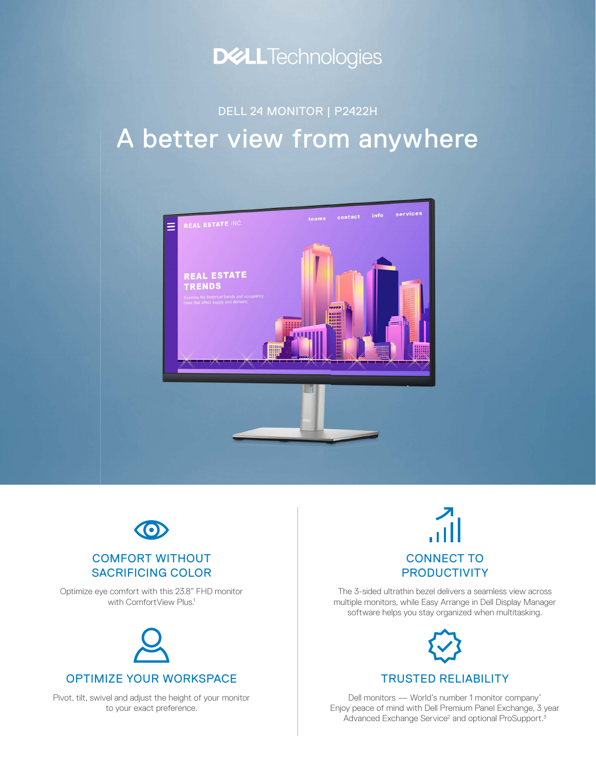

## A better view from anywhere DELL 24 MONITOR | P2422H





### COMFORT WITHOUT SACRIFICING COLOR

Optimize eye comfort with this 23.8" FHD monitor with ComfortView Plus.<sup>1</sup>



Pivot, tilt, swivel and adjust the height of your monitor to your exact preference.

# CONNECT TO **PRODUCTIVITY**

The 3-sided ultrathin bezel delivers a seamless view across multiple monitors, while Easy Arrange in Dell Display Manager software helps you stay organized when multitasking.



### TRUSTED RELIABILITY

Dell monitors — World's number 1 monitor company\* Enjoy peace of mind with Dell Premium Panel Exchange, 3 year Advanced Exchange Service<sup>2</sup> and optional ProSupport.<sup>3</sup>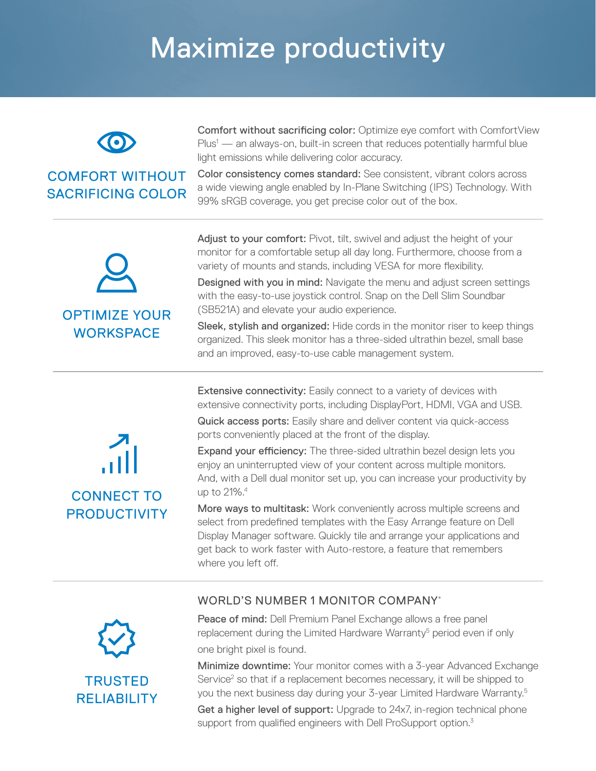# Maximize productivity



### COMFORT WITHOUT SACRIFICING COLOR

Comfort without sacrificing color: Optimize eye comfort with ComfortView Plus<sup>1</sup> — an always-on, built-in screen that reduces potentially harmful blue light emissions while delivering color accuracy.

Color consistency comes standard: See consistent, vibrant colors across a wide viewing angle enabled by In-Plane Switching (IPS) Technology. With 99% sRGB coverage, you get precise color out of the box.



Adjust to your comfort: Pivot, tilt, swivel and adjust the height of your monitor for a comfortable setup all day long. Furthermore, choose from a variety of mounts and stands, including VESA for more flexibility.

Designed with you in mind: Navigate the menu and adjust screen settings with the easy-to-use joystick control. Snap on the Dell Slim Soundbar (SB521A) and elevate your audio experience.

Sleek, stylish and organized: Hide cords in the monitor riser to keep things organized. This sleek monitor has a three-sided ultrathin bezel, small base and an improved, easy-to-use cable management system.

**Extensive connectivity:** Easily connect to a variety of devices with extensive connectivity ports, including DisplayPort, HDMI, VGA and USB.

Quick access ports: Easily share and deliver content via quick-access ports conveniently placed at the front of the display.

Expand your efficiency: The three-sided ultrathin bezel design lets you enjoy an uninterrupted view of your content across multiple monitors. And, with a Dell dual monitor set up, you can increase your productivity by up to 21%.4

More ways to multitask: Work conveniently across multiple screens and select from predefined templates with the Easy Arrange feature on Dell Display Manager software. Quickly tile and arrange your applications and get back to work faster with Auto-restore, a feature that remembers where you left off.

### WORLD'S NUMBER 1 MONITOR COMPANY\*



CONNECT TO **PRODUCTIVITY** 

> Peace of mind: Dell Premium Panel Exchange allows a free panel replacement during the Limited Hardware Warranty<sup>5</sup> period even if only one bright pixel is found.

Minimize downtime: Your monitor comes with a 3-year Advanced Exchange Service<sup>2</sup> so that if a replacement becomes necessary, it will be shipped to you the next business day during your 3-year Limited Hardware Warranty.5

Get a higher level of support: Upgrade to 24x7, in-region technical phone support from qualified engineers with Dell ProSupport option.<sup>3</sup>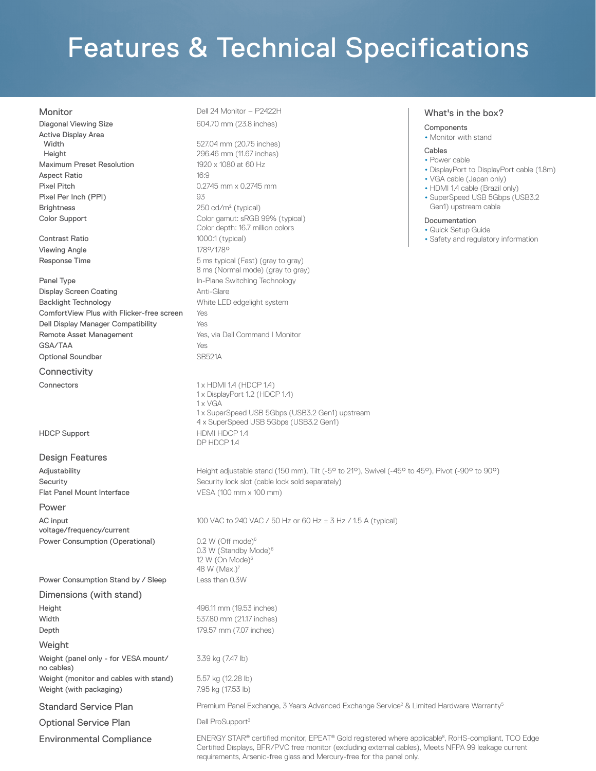# Features & Technical Specifications

Diagonal Viewing Size **604.70 mm** (23.8 inches) Active Display Area Width Height Maximum Preset Resolution 1920 x 1080 at 60 Hz Aspect Ratio 16:9 Pixel Pitch 0.2745 mm x 0.2745 mm Pixel Per Inch (PPI) 93 Brightness 250 cd/m<sup>2</sup> (typical)

Contrast Ratio 1000:1 (typical) Viewing Angle 178°/178°

**Panel Type In-Plane Switching Technology** In-Plane Switching Technology Display Screen Coating **Anti-Glare** Anti-Glare Backlight Technology **Example 20** White LED edgelight system ComfortView Plus with Flicker-free screen Yes Dell Display Manager Compatibility Yes Remote Asset Management **Yes**, via Dell Command I Monitor GSA/TAA Yes Optional Soundbar SB521A

**Connectivity** 

#### Design Features

Flat Panel Mount Interface VESA (100 mm x 100 mm)

#### Power

AC input voltage/frequency/current Power Consumption (Operational) 0.2 W (Off mode)<sup>6</sup>

Power Consumption Stand by / Sleep Less than 0.3W

#### Dimensions (with stand)

**Height 496.11 mm (19.53 inches)** Width 537.80 mm (21.17 inches) **Depth** 179.57 mm (7.07 inches)

**Weight** 

Weight (panel only - for VESA mount/ no cables) Weight (monitor and cables with stand) 5.57 kg (12.28 lb) Weight (with packaging) 7.95 kg (17.53 lb)

Monitor Dell 24 Monitor – P2422H

527.04 mm (20.75 inches) 296.46 mm (11.67 inches) Color Support Color gamut: sRGB 99% (typical) Color depth: 16.7 million colors Response Time **Films** 5 ms typical (Fast) (gray to gray) 8 ms (Normal mode) (gray to gray)

Connectors 1 x HDMI 1.4 (HDCP 1.4) 1 x DisplayPort 1.2 (HDCP 1.4) 1 x VGA 1 x SuperSpeed USB 5Gbps (USB3.2 Gen1) upstream 4 x SuperSpeed USB 5Gbps (USB3.2 Gen1) HDCP Support HDMI HDCP 1.4 DP HDCP 1.4

Adjustability **Height adjustable stand (150 mm), Tilt (-5° to 21°)**, Swivel (-45° to 45°), Pivot (-90° to 90°) Security Security lock slot (cable lock sold separately)

100 VAC to 240 VAC / 50 Hz or 60 Hz ± 3 Hz / 1.5 A (typical)

0.3 W (Standby Mode)<sup>6</sup> 12 W (On Mode) $6$ 48 W  $(Max.)^7$ 

3.39 kg (7.47 lb)

Standard Service Plan **Premium Panel Exchange, 3 Years Advanced Exchange Service**<sup>2</sup> & Limited Hardware Warranty<sup>5</sup>

Optional Service Plan Dell ProSupport<sup>3</sup>

Environmental Compliance **ENERGY STAR®** certified monitor, EPEAT® Gold registered where applicable<sup>8</sup>, RoHS-compliant, TCO Edge Certified Displays, BFR/PVC free monitor (excluding external cables), Meets NFPA 99 leakage current requirements, Arsenic-free glass and Mercury-free for the panel only.

#### What's in the box?

### Components

• Monitor with stand

#### Cables

- Power cable
- DisplayPort to DisplayPort cable (1.8m)
- VGA cable (Japan only)
- HDMI 1.4 cable (Brazil only)
- SuperSpeed USB 5Gbps (USB3.2 Gen1) upstream cable

#### Documentation

- Quick Setup Guide
- Safety and regulatory information